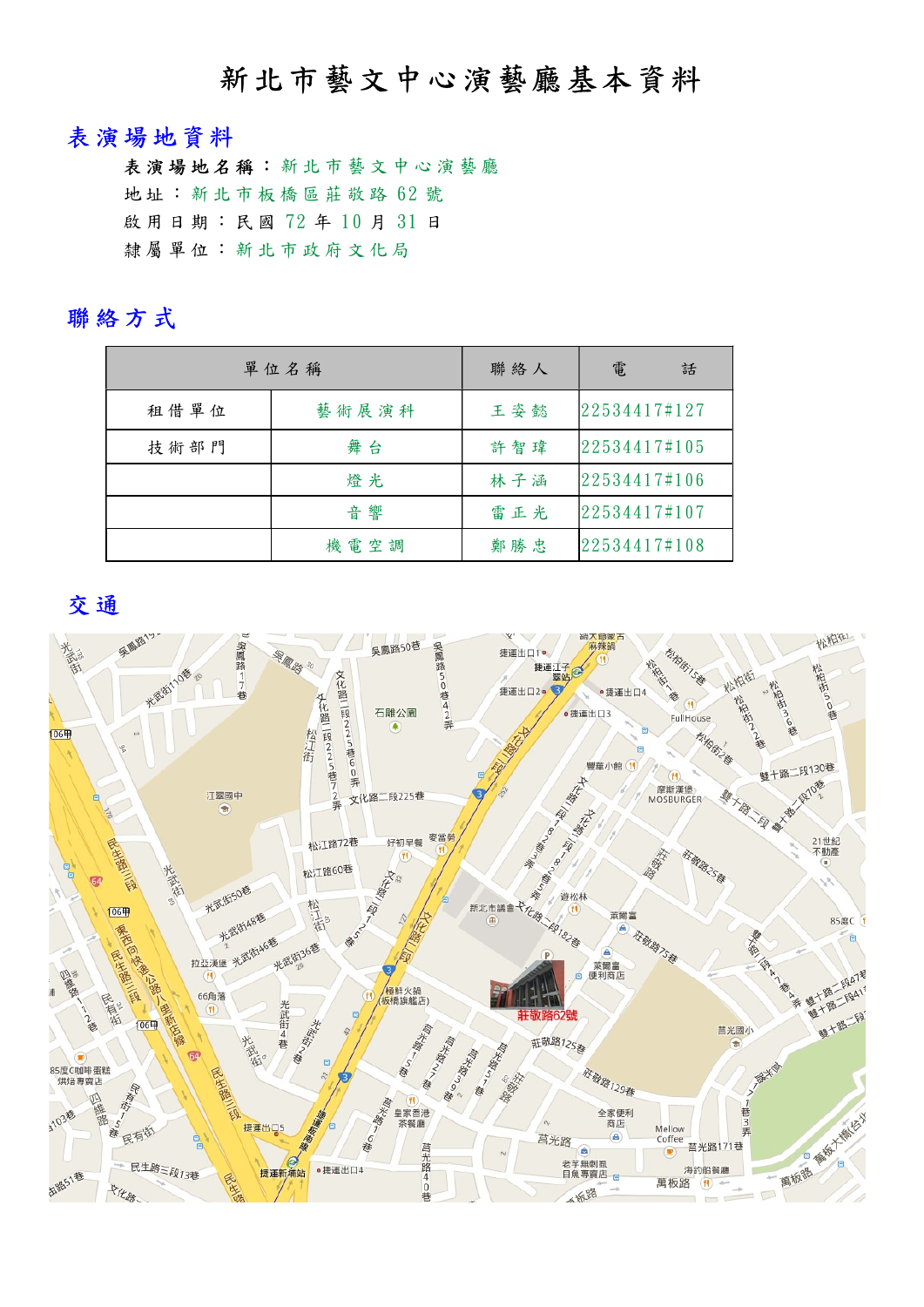# 新北市藝文中心演藝廳基本資料

#### 表演場地資料

表演場地名稱:新北市藝文中心演藝廳 地址: 新北市板橋區莊敬路 62號 啟 用 日 期 : 民 國 72 年 10 月 31 日 隸 屬 單 位 : 新 北 市 政 府 文 化 局

#### 聯絡方式

|      | 單位名稱  | 聯絡人 | 電<br>話       |
|------|-------|-----|--------------|
| 租借單位 | 藝術展演科 | 王姿懿 | 22534417#127 |
| 技術部門 | 舞台    | 許智瑋 | 22534417#105 |
|      | 燈光    | 林子涵 | 22534417#106 |
|      | 音響    | 雷正光 | 22534417#107 |
|      | 機電空調  | 鄭勝忠 | 22534417#108 |

交通

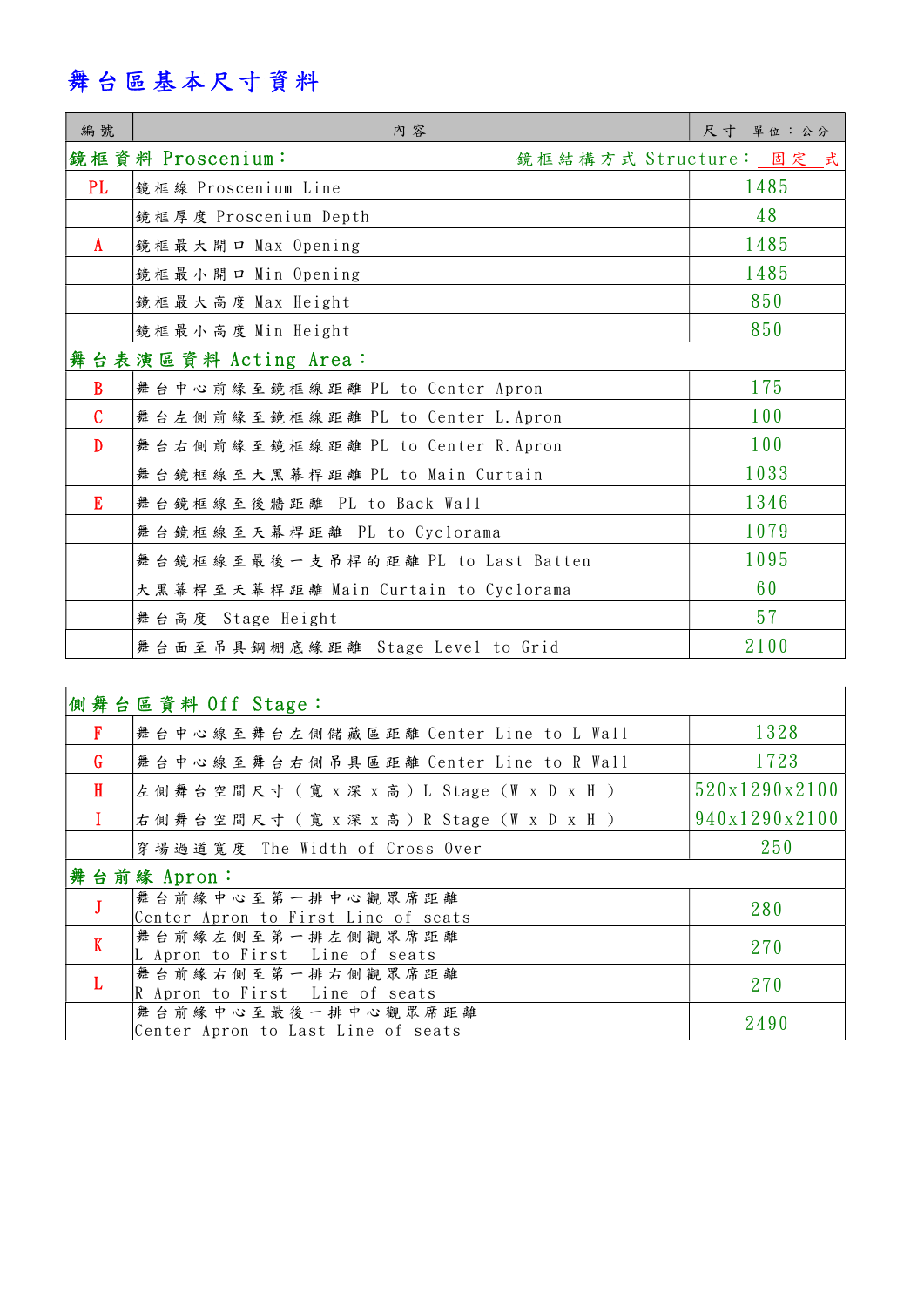# 舞台區基本尺寸資料

| 編號            | 内容                                         | 尺寸<br>單位:公分 |
|---------------|--------------------------------------------|-------------|
|               | 鏡框資料 Proscenium:<br>鏡框結構方式 Structure: 固定 式 |             |
| PL.           | 鏡框線 Proscenium Line                        | 1485        |
|               | 鏡框厚度 Proscenium Depth                      | 48          |
| $\mathbf{A}$  | 鏡框最大開口 Max Opening                         | 1485        |
|               | 鏡框最小開口 Min Opening                         | 1485        |
|               | 鏡框最大高度 Max Height                          | 850         |
|               | 鏡框最小高度 Min Height                          | 850         |
|               | 舞台表演區資料 Acting Area:                       |             |
| $\mathbf{B}$  | 舞台中心前緣至鏡框線距離 PL to Center Apron            | 175         |
| $\mathcal{C}$ | 舞台左側前緣至鏡框線距離 PL to Center L. Apron         | 100         |
| $\mathbf{D}$  | 舞台右側前緣至鏡框線距離 PL to Center R. Apron         | 100         |
|               | 舞台鏡框線至大黑幕桿距離 PL to Main Curtain            | 1033        |
| E             | 舞台鏡框線至後牆距離 PL to Back Wall                 | 1346        |
|               | 舞台鏡框線至天幕桿距離 PL to Cyclorama                | 1079        |
|               | 舞台鏡框線至最後一支吊桿的距離 PL to Last Batten          | 1095        |
|               | 大黑幕桿至天幕桿距離 Main Curtain to Cyclorama       | 60          |
|               | 舞台高度 Stage Height                          | 57          |
|               | 舞台面至吊具鋼棚底缘距離 Stage Level to Grid           | 2100        |

|              | 側舞台區資料 Off Stage:                                        |               |  |  |  |  |
|--------------|----------------------------------------------------------|---------------|--|--|--|--|
| $\mathbf{F}$ | 舞台中心線至舞台左側儲藏區距離 Center Line to L Wall                    | 1328          |  |  |  |  |
| G            | 舞台中心線至舞台右側吊具區距離 Center Line to R Wall                    | 1723          |  |  |  |  |
| $\mathbf{H}$ | 左 側 舞 台 空 間 尺 寸 ( 寛 x 深 x 高 ) L Stage (W x D x H )       | 520x1290x2100 |  |  |  |  |
|              | 右側舞台空間尺寸 (寬 x 深 x 高) R Stage (W x D x H )                | 940x1290x2100 |  |  |  |  |
|              | 穿場過道寬度 The Width of Cross Over                           | 250           |  |  |  |  |
|              | 舞台前緣 Apron:                                              |               |  |  |  |  |
|              | 舞台前緣中心至第一排中心觀眾席距離<br>Center Apron to First Line of seats | 280           |  |  |  |  |
| $\mathbf{K}$ | 舞台前緣左側至第一排左側觀眾席距離<br>L Apron to First Line of seats      | 270           |  |  |  |  |
| $\mathbf{L}$ | 舞台前緣右側至第一排右側觀眾席距離                                        |               |  |  |  |  |
|              | R Apron to First Line of seats                           | 270           |  |  |  |  |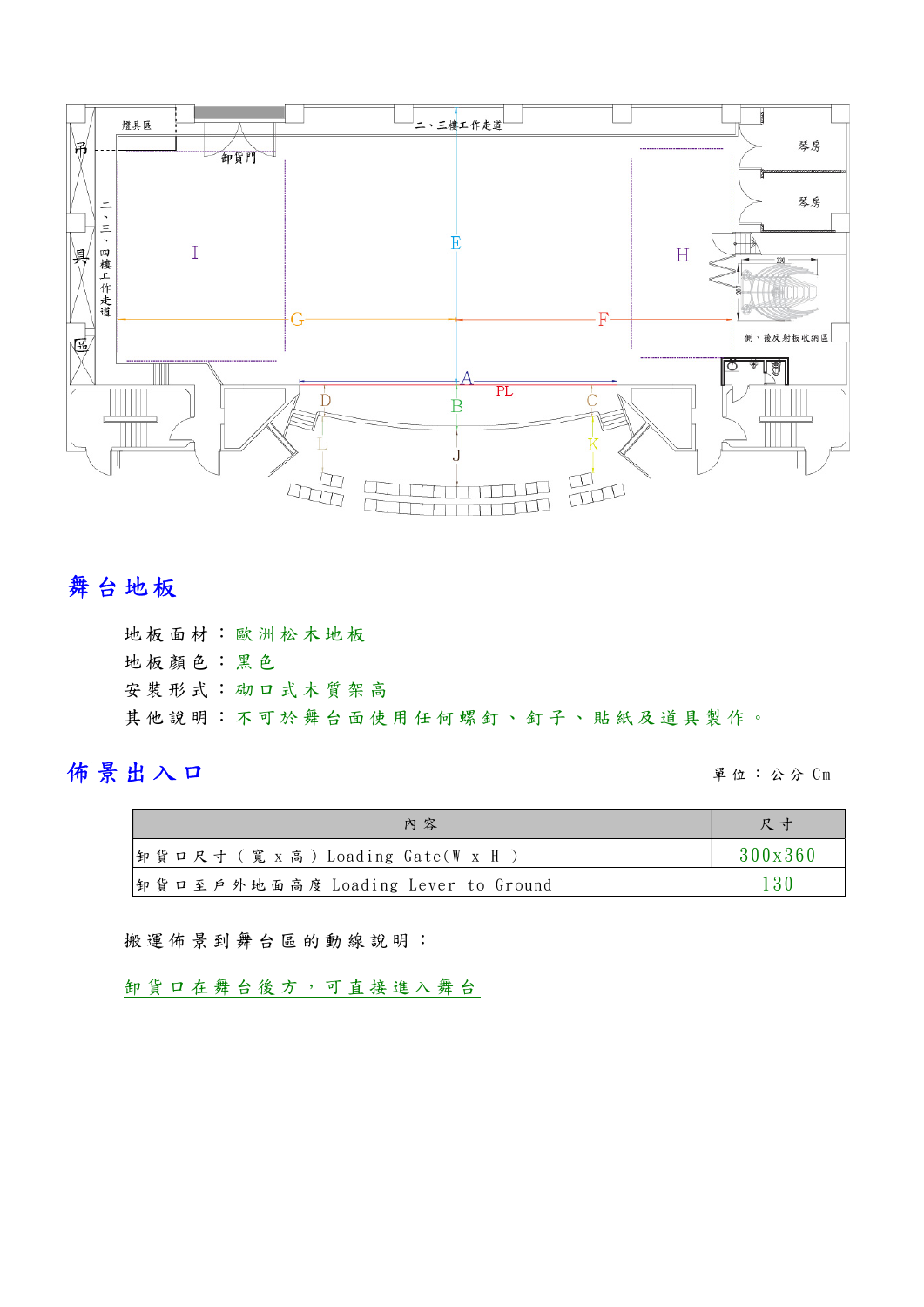

# 舞台地板

地 板 面 材 ︰ 歐 洲 松 木 地 板 地 板 顏 色 ︰ 黑 色 安 裝 形 式 ︰ 砌 口 式 木 質 架 高 其他說明:不可於舞台面使用任何螺釘、釘子、貼紙及道具製作。

## 佈景出入口 單 位 : 公 分 C m

| 內容                                 | 尺寸      |
|------------------------------------|---------|
| 即貨口尺寸 (寬 x 高) Loading Gate(W x H   | 300x360 |
| 卸貨口至戶外地面高度 Loading Lever to Ground | 130     |

搬運佈景到舞台區的動線說明:

卸 貨 口 在 舞 台 後 方 , 可 直 接 進 入 舞 台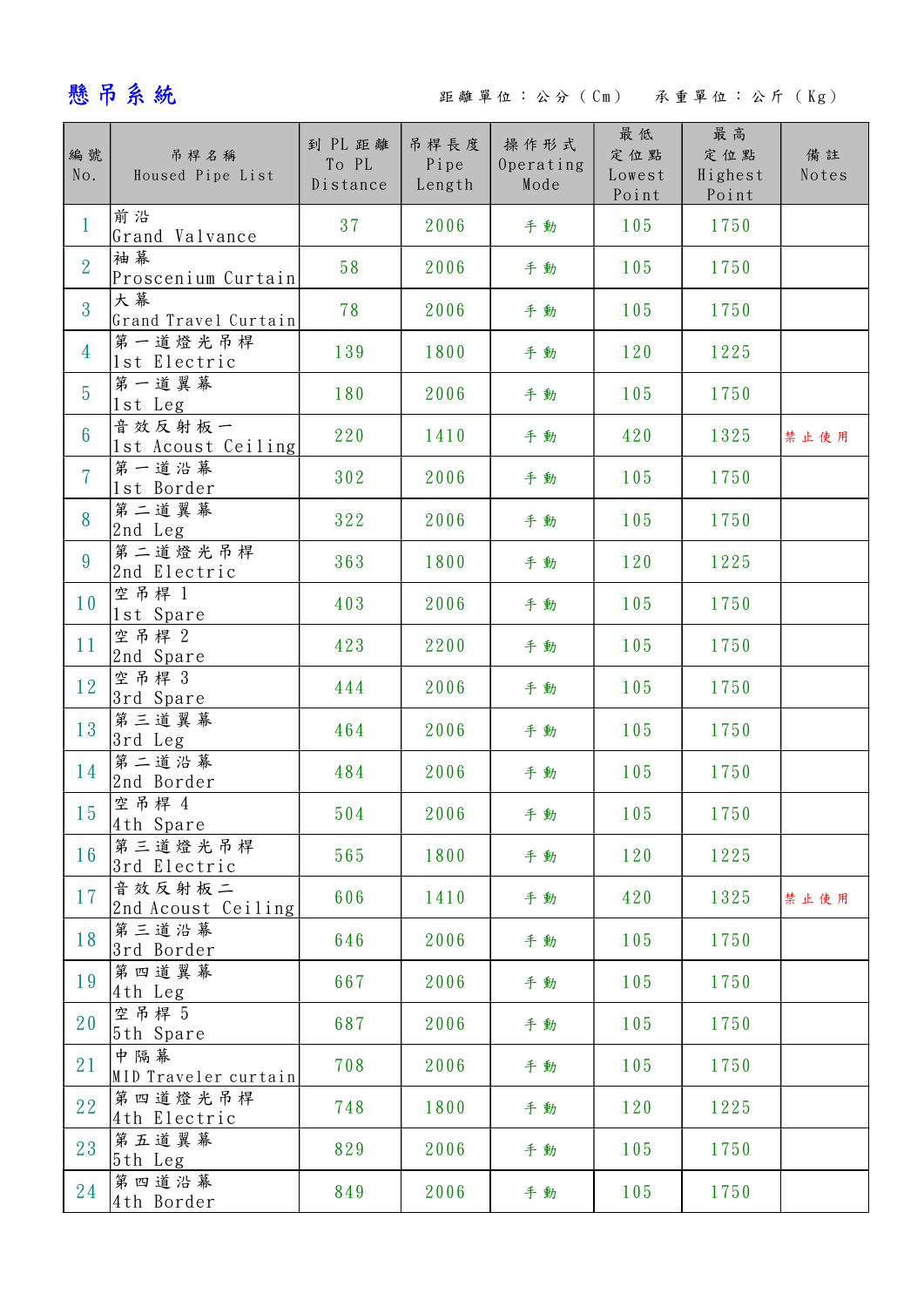## 懸吊系統 距離單位:公分 ( Cm ) 承重單位:公斤 ( Kg )

| 編號<br>No.       | 吊桿名稱<br>Housed Pipe List     | 到 PL 距離<br>To PL<br>Distance | 吊桿長度<br>Pipe<br>Length | 操作形式<br>Operating<br>Mode | 最低<br>定位點<br>Lowest<br>Point | 最高<br>定位點<br>Highest<br>Point | 備註<br>Notes |
|-----------------|------------------------------|------------------------------|------------------------|---------------------------|------------------------------|-------------------------------|-------------|
| $\mathbf{1}$    | 前沿<br>Grand Valvance         | 37                           | 2006                   | 手動                        | 105                          | 1750                          |             |
| $\overline{2}$  | 袖幕<br>Proscenium Curtain     | 58                           | 2006                   | 手動                        | 105                          | 1750                          |             |
| $\overline{3}$  | 大幕<br>Grand Travel Curtain   | 78                           | 2006                   | 手動                        | 105                          | 1750                          |             |
| $\overline{4}$  | 第一道燈光吊桿<br>1st Electric      | 139                          | 1800                   | 手動                        | 120                          | 1225                          |             |
| $5\overline{)}$ | 第一道翼幕<br>1st Leg             | 180                          | 2006                   | 手動                        | 105                          | 1750                          |             |
| $6\overline{6}$ | 音效反射板一<br>1st Acoust Ceiling | 220                          | 1410                   | 手動                        | 420                          | 1325                          | 禁止使用        |
| $\overline{7}$  | 第一道沿幕<br>1st Border          | 302                          | 2006                   | 手動                        | 105                          | 1750                          |             |
| 8               | 第二道翼幕<br>2nd Leg             | 322                          | 2006                   | 手動                        | 105                          | 1750                          |             |
| $9\phantom{.0}$ | 第二道燈光吊桿<br>2nd Electric      | 363                          | 1800                   | 手動                        | 120                          | 1225                          |             |
| 10 <sup>°</sup> | 空吊桿 1<br>1st Spare           | 403                          | 2006                   | 手動                        | 105                          | 1750                          |             |
| 11              | 空吊桿 2<br>2nd Spare           | 423                          | 2200                   | 手動                        | 105                          | 1750                          |             |
| 12              | 空吊桿 3<br>3rd Spare           | 444                          | 2006                   | 手動                        | 105                          | 1750                          |             |
| 13              | 第三道翼幕<br>3rd Leg             | 464                          | 2006                   | 手動                        | 105                          | 1750                          |             |
| 14              | 第二道沿幕<br>2nd Border          | 484                          | 2006                   | 手動                        | 105                          | 1750                          |             |
| 15              | 空吊桿 4<br>4th Spare           | 504                          | 2006                   | 手動                        | 105                          | 1750                          |             |
| 16              | 第三道燈光吊桿<br>3rd Electric      | 565                          | 1800                   | 手動                        | 120                          | 1225                          |             |
| 17              | 音效反射板二<br>2nd Acoust Ceiling | 606                          | 1410                   | 手動                        | 420                          | 1325                          | 禁止使用        |
| 18              | 第三道沿幕<br>3rd Border          | 646                          | 2006                   | 手動                        | 105                          | 1750                          |             |
| 19              | 第四道翼幕<br>4th Leg             | 667                          | 2006                   | 手動                        | 105                          | 1750                          |             |
| 20              | 空吊桿 5<br>5th Spare           | 687                          | 2006                   | 手動                        | 105                          | 1750                          |             |
| 21              | 中隔幕<br>MID Traveler curtain  | 708                          | 2006                   | 手動                        | 105                          | 1750                          |             |
| 22              | 第四道燈光吊桿<br>4th Electric      | 748                          | 1800                   | 手動                        | 120                          | 1225                          |             |
| 23              | 第五道翼幕<br>5th Leg             | 829                          | 2006                   | 手動                        | 105                          | 1750                          |             |
| 24              | 第四道沿幕<br>4th Border          | 849                          | 2006                   | 手動                        | 105                          | 1750                          |             |